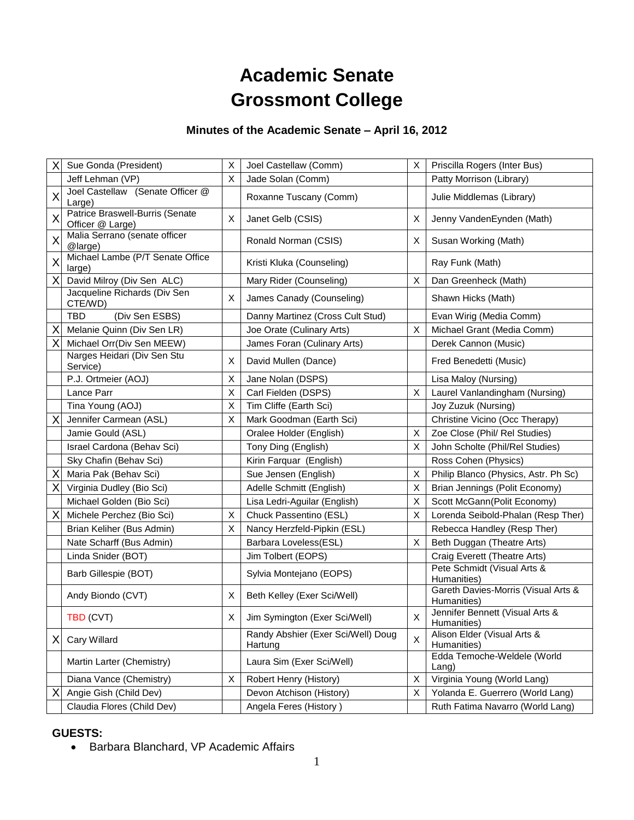# **Academic Senate Grossmont College**

# **Minutes of the Academic Senate – April 16, 2012**

| Х | Sue Gonda (President)                               | X | Joel Castellaw (Comm)                         | X  | Priscilla Rogers (Inter Bus)                       |
|---|-----------------------------------------------------|---|-----------------------------------------------|----|----------------------------------------------------|
|   | Jeff Lehman (VP)                                    | X | Jade Solan (Comm)                             |    | Patty Morrison (Library)                           |
| X | Joel Castellaw (Senate Officer @<br>Large)          |   | Roxanne Tuscany (Comm)                        |    | Julie Middlemas (Library)                          |
| X | Patrice Braswell-Burris (Senate<br>Officer @ Large) | X | Janet Gelb (CSIS)                             | х  | Jenny VandenEynden (Math)                          |
| X | Malia Serrano (senate officer<br>@large)            |   | Ronald Norman (CSIS)                          | X. | Susan Working (Math)                               |
| X | Michael Lambe (P/T Senate Office<br>large)          |   | Kristi Kluka (Counseling)                     |    | Ray Funk (Math)                                    |
| X | David Milroy (Div Sen ALC)                          |   | Mary Rider (Counseling)                       | X  | Dan Greenheck (Math)                               |
|   | Jacqueline Richards (Div Sen<br>CTE/WD)             | X | James Canady (Counseling)                     |    | Shawn Hicks (Math)                                 |
|   | (Div Sen ESBS)<br>TBD                               |   | Danny Martinez (Cross Cult Stud)              |    | Evan Wirig (Media Comm)                            |
| Χ | Melanie Quinn (Div Sen LR)                          |   | Joe Orate (Culinary Arts)                     | X  | Michael Grant (Media Comm)                         |
| Χ | Michael Orr(Div Sen MEEW)                           |   | James Foran (Culinary Arts)                   |    | Derek Cannon (Music)                               |
|   | Narges Heidari (Div Sen Stu<br>Service)             | X | David Mullen (Dance)                          |    | Fred Benedetti (Music)                             |
|   | P.J. Ortmeier (AOJ)                                 | X | Jane Nolan (DSPS)                             |    | Lisa Maloy (Nursing)                               |
|   | Lance Parr                                          | X | Carl Fielden (DSPS)                           | Χ  | Laurel Vanlandingham (Nursing)                     |
|   | Tina Young (AOJ)                                    | X | Tim Cliffe (Earth Sci)                        |    | Joy Zuzuk (Nursing)                                |
| X | Jennifer Carmean (ASL)                              | X | Mark Goodman (Earth Sci)                      |    | Christine Vicino (Occ Therapy)                     |
|   | Jamie Gould (ASL)                                   |   | Oralee Holder (English)                       | Χ  | Zoe Close (Phil/ Rel Studies)                      |
|   | Israel Cardona (Behav Sci)                          |   | Tony Ding (English)                           | X  | John Scholte (Phil/Rel Studies)                    |
|   | Sky Chafin (Behav Sci)                              |   | Kirin Farquar (English)                       |    | Ross Cohen (Physics)                               |
| X | Maria Pak (Behav Sci)                               |   | Sue Jensen (English)                          | X  | Philip Blanco (Physics, Astr. Ph Sc)               |
| X | Virginia Dudley (Bio Sci)                           |   | Adelle Schmitt (English)                      | X  | Brian Jennings (Polit Economy)                     |
|   | Michael Golden (Bio Sci)                            |   | Lisa Ledri-Aguilar (English)                  | X  | Scott McGann(Polit Economy)                        |
| X | Michele Perchez (Bio Sci)                           | X | Chuck Passentino (ESL)                        | X  | Lorenda Seibold-Phalan (Resp Ther)                 |
|   | Brian Keliher (Bus Admin)                           | X | Nancy Herzfeld-Pipkin (ESL)                   |    | Rebecca Handley (Resp Ther)                        |
|   | Nate Scharff (Bus Admin)                            |   | Barbara Loveless(ESL)                         | X  | Beth Duggan (Theatre Arts)                         |
|   | Linda Snider (BOT)                                  |   | Jim Tolbert (EOPS)                            |    | Craig Everett (Theatre Arts)                       |
|   | Barb Gillespie (BOT)                                |   | Sylvia Montejano (EOPS)                       |    | Pete Schmidt (Visual Arts &<br>Humanities)         |
|   | Andy Biondo (CVT)                                   | X | Beth Kelley (Exer Sci/Well)                   |    | Gareth Davies-Morris (Visual Arts &<br>Humanities) |
|   | TBD (CVT)                                           | X | Jim Symington (Exer Sci/Well)                 | X. | Jennifer Bennett (Visual Arts &<br>Humanities)     |
| X | Cary Willard                                        |   | Randy Abshier (Exer Sci/Well) Doug<br>Hartung | X  | Alison Elder (Visual Arts &<br>Humanities)         |
|   | Martin Larter (Chemistry)                           |   | Laura Sim (Exer Sci/Well)                     |    | Edda Temoche-Weldele (World<br>Lang)               |
|   | Diana Vance (Chemistry)                             | X | Robert Henry (History)                        | X  | Virginia Young (World Lang)                        |
| X | Angie Gish (Child Dev)                              |   | Devon Atchison (History)                      | X. | Yolanda E. Guerrero (World Lang)                   |
|   | Claudia Flores (Child Dev)                          |   | Angela Feres (History)                        |    | Ruth Fatima Navarro (World Lang)                   |

# **GUESTS:**

• Barbara Blanchard, VP Academic Affairs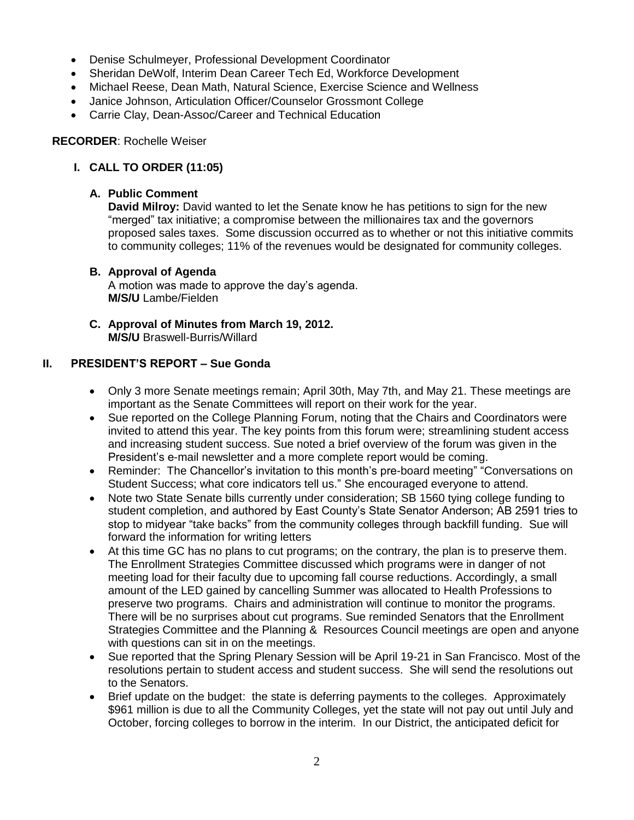- Denise Schulmeyer, Professional Development Coordinator
- Sheridan DeWolf, Interim Dean Career Tech Ed, Workforce Development
- Michael Reese, Dean Math, Natural Science, Exercise Science and Wellness
- Janice Johnson, Articulation Officer/Counselor Grossmont College
- Carrie Clay, Dean-Assoc/Career and Technical Education

#### **RECORDER**: Rochelle Weiser

# **I. CALL TO ORDER (11:05)**

## **A. Public Comment**

**David Milroy:** David wanted to let the Senate know he has petitions to sign for the new "merged" tax initiative; a compromise between the millionaires tax and the governors proposed sales taxes. Some discussion occurred as to whether or not this initiative commits to community colleges; 11% of the revenues would be designated for community colleges.

## **B. Approval of Agenda**

A motion was made to approve the day's agenda. **M/S/U** Lambe/Fielden

**C. Approval of Minutes from March 19, 2012. M/S/U** Braswell-Burris/Willard

# **II. PRESIDENT'S REPORT – Sue Gonda**

- Only 3 more Senate meetings remain; April 30th, May 7th, and May 21. These meetings are important as the Senate Committees will report on their work for the year.
- Sue reported on the College Planning Forum, noting that the Chairs and Coordinators were invited to attend this year. The key points from this forum were; streamlining student access and increasing student success. Sue noted a brief overview of the forum was given in the President's e-mail newsletter and a more complete report would be coming.
- Reminder: The Chancellor's invitation to this month's pre-board meeting" "Conversations on Student Success; what core indicators tell us." She encouraged everyone to attend.
- Note two State Senate bills currently under consideration; SB 1560 tying college funding to student completion, and authored by East County's State Senator Anderson; AB 2591 tries to stop to midyear "take backs" from the community colleges through backfill funding. Sue will forward the information for writing letters
- At this time GC has no plans to cut programs; on the contrary, the plan is to preserve them. The Enrollment Strategies Committee discussed which programs were in danger of not meeting load for their faculty due to upcoming fall course reductions. Accordingly, a small amount of the LED gained by cancelling Summer was allocated to Health Professions to preserve two programs. Chairs and administration will continue to monitor the programs. There will be no surprises about cut programs. Sue reminded Senators that the Enrollment Strategies Committee and the Planning & Resources Council meetings are open and anyone with questions can sit in on the meetings.
- Sue reported that the Spring Plenary Session will be April 19-21 in San Francisco. Most of the resolutions pertain to student access and student success. She will send the resolutions out to the Senators.
- Brief update on the budget: the state is deferring payments to the colleges. Approximately \$961 million is due to all the Community Colleges, yet the state will not pay out until July and October, forcing colleges to borrow in the interim. In our District, the anticipated deficit for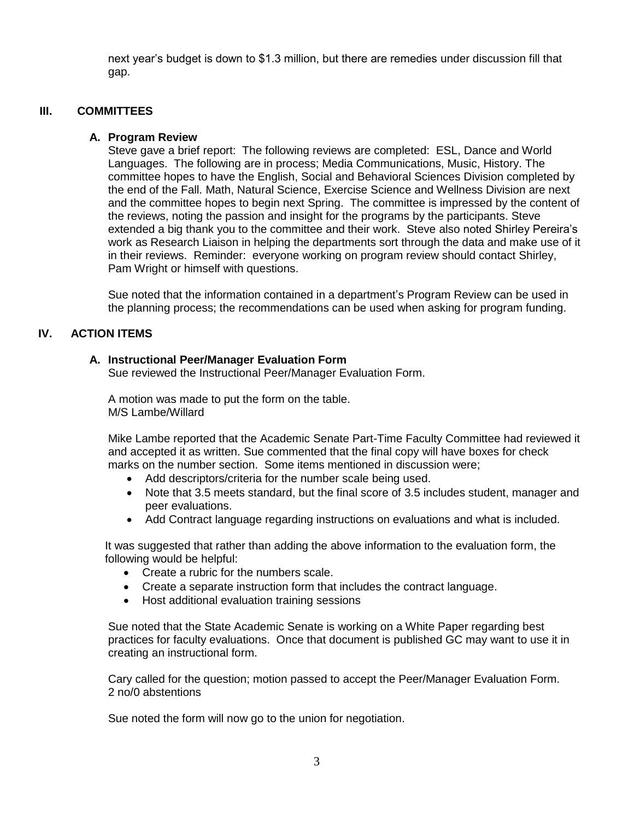next year's budget is down to \$1.3 million, but there are remedies under discussion fill that gap.

#### **III. COMMITTEES**

#### **A. Program Review**

Steve gave a brief report: The following reviews are completed: ESL, Dance and World Languages. The following are in process; Media Communications, Music, History. The committee hopes to have the English, Social and Behavioral Sciences Division completed by the end of the Fall. Math, Natural Science, Exercise Science and Wellness Division are next and the committee hopes to begin next Spring. The committee is impressed by the content of the reviews, noting the passion and insight for the programs by the participants. Steve extended a big thank you to the committee and their work. Steve also noted Shirley Pereira's work as Research Liaison in helping the departments sort through the data and make use of it in their reviews. Reminder: everyone working on program review should contact Shirley, Pam Wright or himself with questions.

Sue noted that the information contained in a department's Program Review can be used in the planning process; the recommendations can be used when asking for program funding.

#### **IV. ACTION ITEMS**

#### **A. Instructional Peer/Manager Evaluation Form**

Sue reviewed the Instructional Peer/Manager Evaluation Form.

A motion was made to put the form on the table. M/S Lambe/Willard

Mike Lambe reported that the Academic Senate Part-Time Faculty Committee had reviewed it and accepted it as written. Sue commented that the final copy will have boxes for check marks on the number section. Some items mentioned in discussion were;

- Add descriptors/criteria for the number scale being used.
- Note that 3.5 meets standard, but the final score of 3.5 includes student, manager and peer evaluations.
- Add Contract language regarding instructions on evaluations and what is included.

It was suggested that rather than adding the above information to the evaluation form, the following would be helpful:

- Create a rubric for the numbers scale.
- Create a separate instruction form that includes the contract language.
- Host additional evaluation training sessions

Sue noted that the State Academic Senate is working on a White Paper regarding best practices for faculty evaluations. Once that document is published GC may want to use it in creating an instructional form.

Cary called for the question; motion passed to accept the Peer/Manager Evaluation Form. 2 no/0 abstentions

Sue noted the form will now go to the union for negotiation.